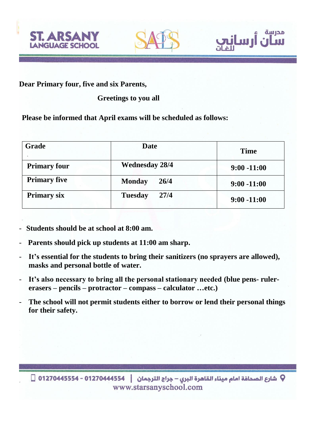



مدرسة

رسان

**Dear Primary four, five and six Parents,**

## **Greetings to you all**

**Please be informed that April exams will be scheduled as follows:**

| <b>Grade</b>        | <b>Date</b>            | <b>Time</b>    |
|---------------------|------------------------|----------------|
| <b>Primary four</b> | <b>Wednesday 28/4</b>  | $9:00 - 11:00$ |
| <b>Primary five</b> | <b>Monday</b><br>26/4  | $9:00 - 11:00$ |
| <b>Primary six</b>  | <b>Tuesday</b><br>27/4 | $9:00 - 11:00$ |

- **Students should be at school at 8:00 am.**
- **Parents should pick up students at 11:00 am sharp.**
- **It's essential for the students to bring their sanitizers (no sprayers are allowed), masks and personal bottle of water.**
- **It's also necessary to bring all the personal stationary needed (blue pens- rulererasers – pencils – protractor – compass – calculator …etc.)**
- **The school will not permit students either to borrow or lend their personal things for their safety.**